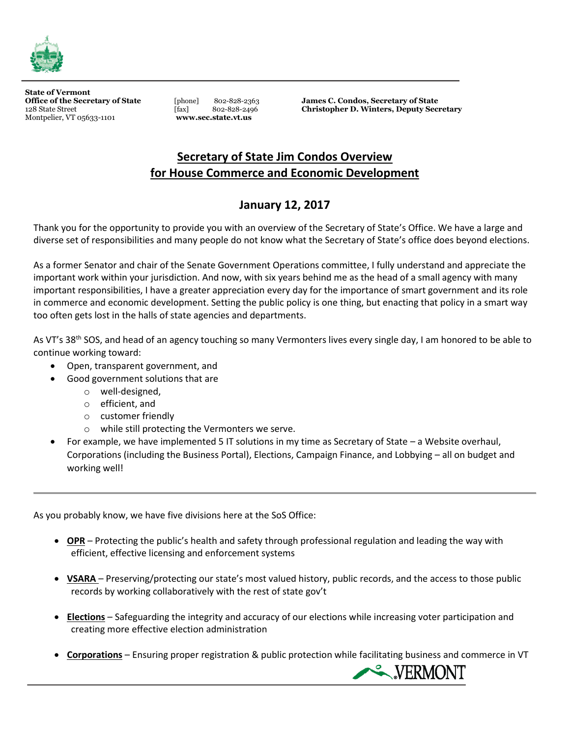

**State of Vermont** Montpelier, VT 05633-1101 **www.sec.state.vt.us**

Office of the Secretary of State **and State in the Secretary of State and State Street in the Secretary of State COLOGIST State Street Example 302-828-2496 Christopher D. Winters, Deputy Sec Condos**,  $\frac{128 \text{ State$ 128 State Street[fax] 802-828-2496 **Christopher D. Winters, Deputy Secretary**

## **Secretary of State Jim Condos Overview for House Commerce and Economic Development**

## **January 12, 2017**

Thank you for the opportunity to provide you with an overview of the Secretary of State's Office. We have a large and diverse set of responsibilities and many people do not know what the Secretary of State's office does beyond elections.

As a former Senator and chair of the Senate Government Operations committee, I fully understand and appreciate the important work within your jurisdiction. And now, with six years behind me as the head of a small agency with many important responsibilities, I have a greater appreciation every day for the importance of smart government and its role in commerce and economic development. Setting the public policy is one thing, but enacting that policy in a smart way too often gets lost in the halls of state agencies and departments.

As VT's 38<sup>th</sup> SOS, and head of an agency touching so many Vermonters lives every single day, I am honored to be able to continue working toward:

- Open, transparent government, and
- Good government solutions that are
	- o well-designed,
	- o efficient, and
	- o customer friendly
	- o while still protecting the Vermonters we serve.
- For example, we have implemented 5 IT solutions in my time as Secretary of State a Website overhaul, Corporations (including the Business Portal), Elections, Campaign Finance, and Lobbying – all on budget and working well!

As you probably know, we have five divisions here at the SoS Office:

- **OPR** Protecting the public's health and safety through professional regulation and leading the way with efficient, effective licensing and enforcement systems
- **VSARA** Preserving/protecting our state's most valued history, public records, and the access to those public records by working collaboratively with the rest of state gov't
- **Elections** Safeguarding the integrity and accuracy of our elections while increasing voter participation and creating more effective election administration
- **Corporations** Ensuring proper registration & public protection while facilitating business and commerce in VT

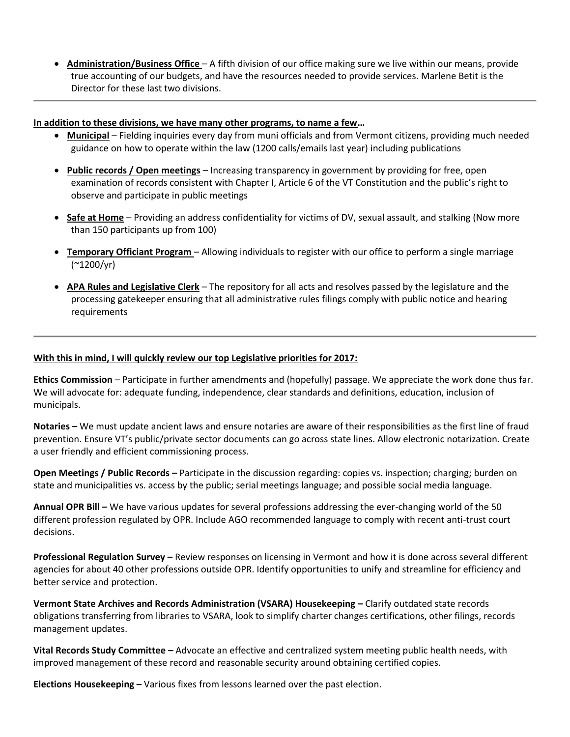**Administration/Business Office** – A fifth division of our office making sure we live within our means, provide true accounting of our budgets, and have the resources needed to provide services. Marlene Betit is the Director for these last two divisions.

### **In addition to these divisions, we have many other programs, to name a few…**

- **Municipal** Fielding inquiries every day from muni officials and from Vermont citizens, providing much needed guidance on how to operate within the law (1200 calls/emails last year) including publications
- **Public records / Open meetings** Increasing transparency in government by providing for free, open examination of records consistent with Chapter I, Article 6 of the VT Constitution and the public's right to observe and participate in public meetings
- **Safe at Home** Providing an address confidentiality for victims of DV, sexual assault, and stalking (Now more than 150 participants up from 100)
- **Temporary Officiant Program** Allowing individuals to register with our office to perform a single marriage (~1200/yr)
- **APA Rules and Legislative Clerk** The repository for all acts and resolves passed by the legislature and the processing gatekeeper ensuring that all administrative rules filings comply with public notice and hearing requirements

### **With this in mind, I will quickly review our top Legislative priorities for 2017:**

**Ethics Commission** – Participate in further amendments and (hopefully) passage. We appreciate the work done thus far. We will advocate for: adequate funding, independence, clear standards and definitions, education, inclusion of municipals.

**Notaries –** We must update ancient laws and ensure notaries are aware of their responsibilities as the first line of fraud prevention. Ensure VT's public/private sector documents can go across state lines. Allow electronic notarization. Create a user friendly and efficient commissioning process.

**Open Meetings / Public Records –** Participate in the discussion regarding: copies vs. inspection; charging; burden on state and municipalities vs. access by the public; serial meetings language; and possible social media language.

**Annual OPR Bill –** We have various updates for several professions addressing the ever-changing world of the 50 different profession regulated by OPR. Include AGO recommended language to comply with recent anti-trust court decisions.

**Professional Regulation Survey –** Review responses on licensing in Vermont and how it is done across several different agencies for about 40 other professions outside OPR. Identify opportunities to unify and streamline for efficiency and better service and protection.

**Vermont State Archives and Records Administration (VSARA) Housekeeping –** Clarify outdated state records obligations transferring from libraries to VSARA, look to simplify charter changes certifications, other filings, records management updates.

**Vital Records Study Committee –** Advocate an effective and centralized system meeting public health needs, with improved management of these record and reasonable security around obtaining certified copies.

**Elections Housekeeping –** Various fixes from lessons learned over the past election.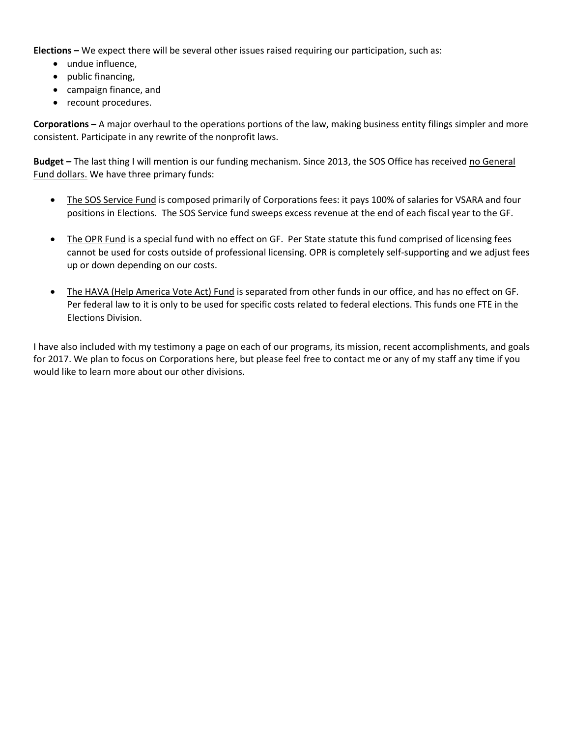**Elections –** We expect there will be several other issues raised requiring our participation, such as:

- undue influence.
- public financing,
- campaign finance, and
- recount procedures.

**Corporations –** A major overhaul to the operations portions of the law, making business entity filings simpler and more consistent. Participate in any rewrite of the nonprofit laws.

**Budget –** The last thing I will mention is our funding mechanism. Since 2013, the SOS Office has received no General Fund dollars. We have three primary funds:

- The SOS Service Fund is composed primarily of Corporations fees: it pays 100% of salaries for VSARA and four positions in Elections. The SOS Service fund sweeps excess revenue at the end of each fiscal year to the GF.
- The OPR Fund is a special fund with no effect on GF. Per State statute this fund comprised of licensing fees cannot be used for costs outside of professional licensing. OPR is completely self-supporting and we adjust fees up or down depending on our costs.
- The HAVA (Help America Vote Act) Fund is separated from other funds in our office, and has no effect on GF. Per federal law to it is only to be used for specific costs related to federal elections. This funds one FTE in the Elections Division.

I have also included with my testimony a page on each of our programs, its mission, recent accomplishments, and goals for 2017. We plan to focus on Corporations here, but please feel free to contact me or any of my staff any time if you would like to learn more about our other divisions.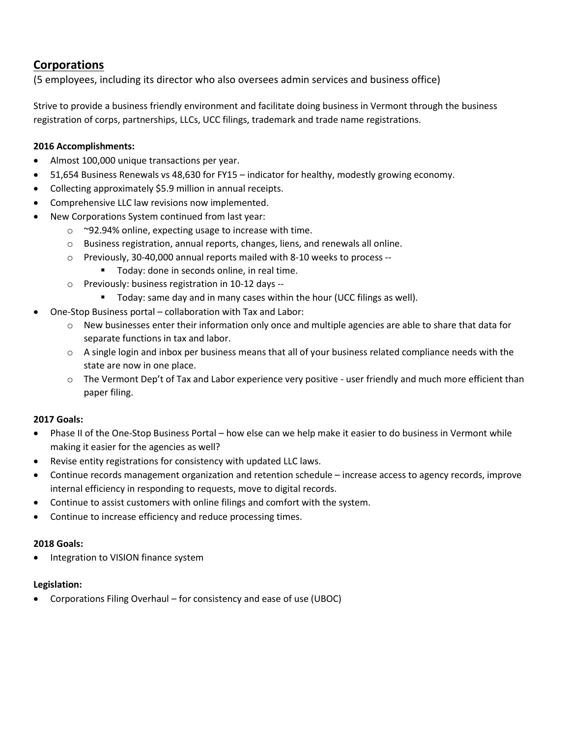## **Corporations**

(5 employees, including its director who also oversees admin services and business office)

Strive to provide a business friendly environment and facilitate doing business in Vermont through the business registration of corps, partnerships, LLCs, UCC filings, trademark and trade name registrations.

### **2016 Accomplishments:**

- Almost 100,000 unique transactions per year.
- 51,654 Business Renewals vs 48,630 for FY15 indicator for healthy, modestly growing economy.
- Collecting approximately \$5.9 million in annual receipts.
- Comprehensive LLC law revisions now implemented.
- New Corporations System continued from last year:
	- o ~92.94% online, expecting usage to increase with time.
	- o Business registration, annual reports, changes, liens, and renewals all online.
	- o Previously, 30-40,000 annual reports mailed with 8-10 weeks to process --
		- **Today: done in seconds online, in real time.**
	- o Previously: business registration in 10-12 days --
		- **Today:** same day and in many cases within the hour (UCC filings as well).
- One-Stop Business portal collaboration with Tax and Labor:
	- $\circ$  New businesses enter their information only once and multiple agencies are able to share that data for separate functions in tax and labor.
	- o A single login and inbox per business means that all of your business related compliance needs with the state are now in one place.
	- o The Vermont Dep't of Tax and Labor experience very positive user friendly and much more efficient than paper filing.

### **2017 Goals:**

- Phase II of the One-Stop Business Portal how else can we help make it easier to do business in Vermont while making it easier for the agencies as well?
- Revise entity registrations for consistency with updated LLC laws.
- Continue records management organization and retention schedule increase access to agency records, improve internal efficiency in responding to requests, move to digital records.
- Continue to assist customers with online filings and comfort with the system.
- Continue to increase efficiency and reduce processing times.

### **2018 Goals:**

Integration to VISION finance system

### **Legislation:**

Corporations Filing Overhaul – for consistency and ease of use (UBOC)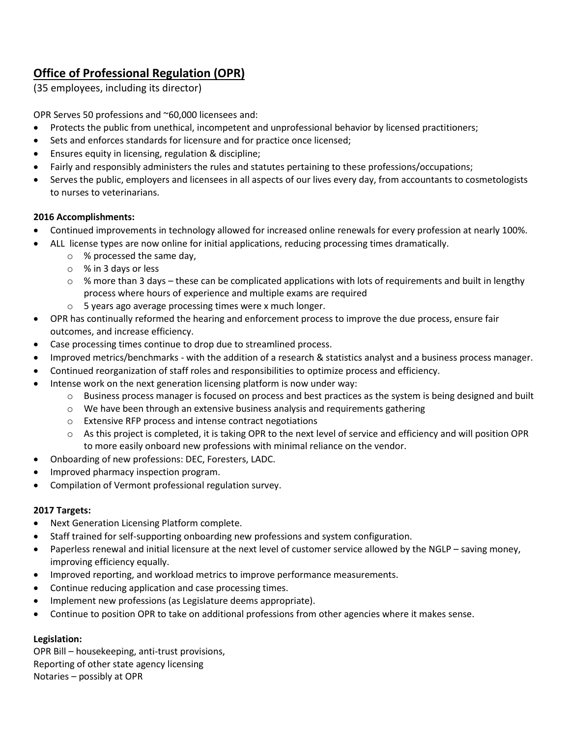## **Office of Professional Regulation (OPR)**

(35 employees, including its director)

OPR Serves 50 professions and ~60,000 licensees and:

- Protects the public from unethical, incompetent and unprofessional behavior by licensed practitioners;
- Sets and enforces standards for licensure and for practice once licensed;
- Ensures equity in licensing, regulation & discipline;
- Fairly and responsibly administers the rules and statutes pertaining to these professions/occupations;
- Serves the public, employers and licensees in all aspects of our lives every day, from accountants to cosmetologists to nurses to veterinarians.

### **2016 Accomplishments:**

- Continued improvements in technology allowed for increased online renewals for every profession at nearly 100%.
- ALL license types are now online for initial applications, reducing processing times dramatically.
	- o % processed the same day,
	- o % in 3 days or less
	- $\circ$  % more than 3 days these can be complicated applications with lots of requirements and built in lengthy process where hours of experience and multiple exams are required
	- o 5 years ago average processing times were x much longer.
- OPR has continually reformed the hearing and enforcement process to improve the due process, ensure fair outcomes, and increase efficiency.
- Case processing times continue to drop due to streamlined process.
- Improved metrics/benchmarks with the addition of a research & statistics analyst and a business process manager.
- Continued reorganization of staff roles and responsibilities to optimize process and efficiency.
- Intense work on the next generation licensing platform is now under way:
	- o Business process manager is focused on process and best practices as the system is being designed and built
	- o We have been through an extensive business analysis and requirements gathering
	- o Extensive RFP process and intense contract negotiations
	- o As this project is completed, it is taking OPR to the next level of service and efficiency and will position OPR to more easily onboard new professions with minimal reliance on the vendor.
- Onboarding of new professions: DEC, Foresters, LADC.
- Improved pharmacy inspection program.
- Compilation of Vermont professional regulation survey.

### **2017 Targets:**

- Next Generation Licensing Platform complete.
- Staff trained for self-supporting onboarding new professions and system configuration.
- Paperless renewal and initial licensure at the next level of customer service allowed by the NGLP saving money, improving efficiency equally.
- Improved reporting, and workload metrics to improve performance measurements.
- Continue reducing application and case processing times.
- Implement new professions (as Legislature deems appropriate).
- Continue to position OPR to take on additional professions from other agencies where it makes sense.

### **Legislation:**

OPR Bill – housekeeping, anti-trust provisions, Reporting of other state agency licensing Notaries – possibly at OPR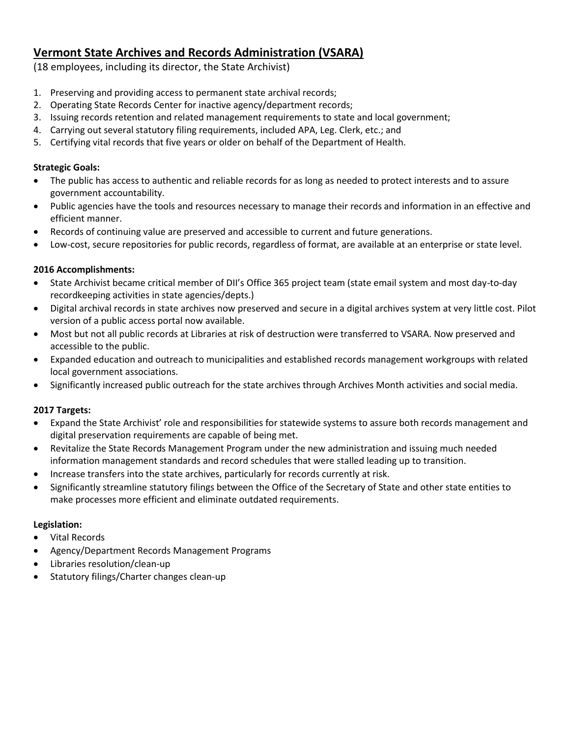## **Vermont State Archives and Records Administration (VSARA)**

(18 employees, including its director, the State Archivist)

- 1. Preserving and providing access to permanent state archival records;
- 2. Operating State Records Center for inactive agency/department records;
- 3. Issuing records retention and related management requirements to state and local government;
- 4. Carrying out several statutory filing requirements, included APA, Leg. Clerk, etc.; and
- 5. Certifying vital records that five years or older on behalf of the Department of Health.

## **Strategic Goals:**

- The public has access to authentic and reliable records for as long as needed to protect interests and to assure government accountability.
- Public agencies have the tools and resources necessary to manage their records and information in an effective and efficient manner.
- Records of continuing value are preserved and accessible to current and future generations.
- Low-cost, secure repositories for public records, regardless of format, are available at an enterprise or state level.

## **2016 Accomplishments:**

- State Archivist became critical member of DII's Office 365 project team (state email system and most day-to-day recordkeeping activities in state agencies/depts.)
- Digital archival records in state archives now preserved and secure in a digital archives system at very little cost. Pilot version of a public access portal now available.
- Most but not all public records at Libraries at risk of destruction were transferred to VSARA. Now preserved and accessible to the public.
- Expanded education and outreach to municipalities and established records management workgroups with related local government associations.
- Significantly increased public outreach for the state archives through Archives Month activities and social media.

## **2017 Targets:**

- Expand the State Archivist' role and responsibilities for statewide systems to assure both records management and digital preservation requirements are capable of being met.
- Revitalize the State Records Management Program under the new administration and issuing much needed information management standards and record schedules that were stalled leading up to transition.
- Increase transfers into the state archives, particularly for records currently at risk.
- Significantly streamline statutory filings between the Office of the Secretary of State and other state entities to make processes more efficient and eliminate outdated requirements.

## **Legislation:**

- Vital Records
- Agency/Department Records Management Programs
- Libraries resolution/clean-up
- Statutory filings/Charter changes clean-up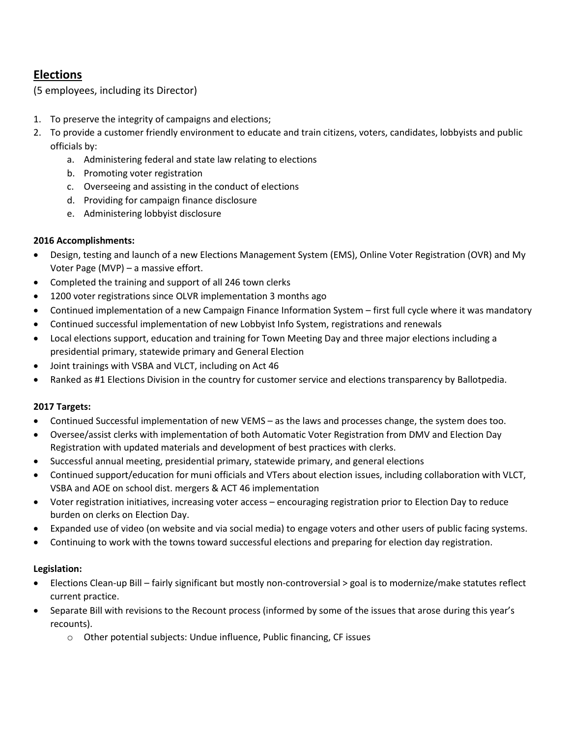## **Elections**

(5 employees, including its Director)

- 1. To preserve the integrity of campaigns and elections;
- 2. To provide a customer friendly environment to educate and train citizens, voters, candidates, lobbyists and public officials by:
	- a. Administering federal and state law relating to elections
	- b. Promoting voter registration
	- c. Overseeing and assisting in the conduct of elections
	- d. Providing for campaign finance disclosure
	- e. Administering lobbyist disclosure

## **2016 Accomplishments:**

- Design, testing and launch of a new Elections Management System (EMS), Online Voter Registration (OVR) and My Voter Page (MVP) – a massive effort.
- Completed the training and support of all 246 town clerks
- 1200 voter registrations since OLVR implementation 3 months ago
- Continued implementation of a new Campaign Finance Information System first full cycle where it was mandatory
- Continued successful implementation of new Lobbyist Info System, registrations and renewals
- Local elections support, education and training for Town Meeting Day and three major elections including a presidential primary, statewide primary and General Election
- Joint trainings with VSBA and VLCT, including on Act 46
- Ranked as #1 Elections Division in the country for customer service and elections transparency by Ballotpedia.

## **2017 Targets:**

- Continued Successful implementation of new VEMS as the laws and processes change, the system does too.
- Oversee/assist clerks with implementation of both Automatic Voter Registration from DMV and Election Day Registration with updated materials and development of best practices with clerks.
- Successful annual meeting, presidential primary, statewide primary, and general elections
- Continued support/education for muni officials and VTers about election issues, including collaboration with VLCT, VSBA and AOE on school dist. mergers & ACT 46 implementation
- Voter registration initiatives, increasing voter access encouraging registration prior to Election Day to reduce burden on clerks on Election Day.
- Expanded use of video (on website and via social media) to engage voters and other users of public facing systems.
- Continuing to work with the towns toward successful elections and preparing for election day registration.

## **Legislation:**

- Elections Clean-up Bill fairly significant but mostly non-controversial > goal is to modernize/make statutes reflect current practice.
- Separate Bill with revisions to the Recount process (informed by some of the issues that arose during this year's recounts).
	- o Other potential subjects: Undue influence, Public financing, CF issues